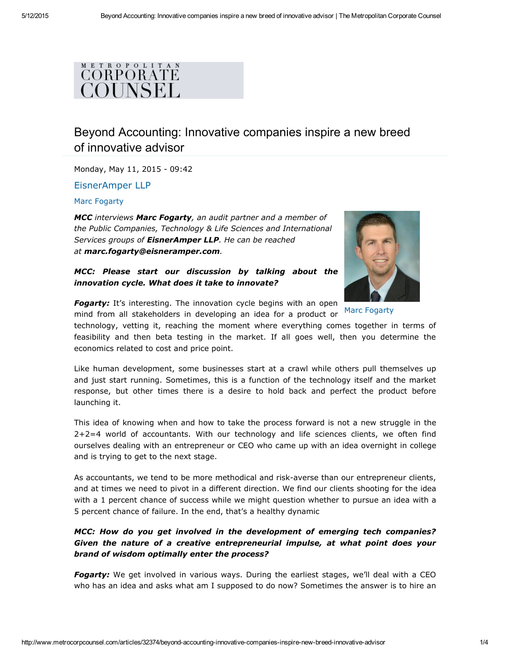## METROPOLITAN CORPORATE COUNSEL

# [Beyo](http://googleads.g.doubleclick.net/aclk?sa=L&ai=B9GocbFVSVRCUoYQEr5CAkAXl0NWcBwAAABABIM3MjCE4AFjlyMrfkgFgycb8irSk2A-yARh3d3cubWV0cm9jb3JwY291bnNlbC5jb226AQlnZnBfaW1hZ2XIAQLaAXpodHRwOi8vd3d3Lm1ldHJvY29ycGNvdW5zZWwuY29tL2FydGljbGVzLzMyMzc0L2JleW9uZC1hY2NvdW50aW5nLWlubm92YXRpdmUtY29tcGFuaWVzLWluc3BpcmUtbmV3LWJyZWVkLWlubm92YXRpdmUtYWR2aXNvcuABBcACAuACAOoCDVNpZGVfQmFubmVyXzP4AvnRHpAD4AOYA-ADqAMByAOZBNAEkE7gBAGQBgGgBhTYBwE&num=0&cid=5GiEk4P3GoLi8xYF9fxpcGwR&sig=AOD64_12vD_Z8MCBnp1g5FVi0EdVvE8wJA&client=ca-pub-9662693589664990&adurl=http://www.rvminc.com/)nd Accounting: Innovative companies inspire a new breed of innovative advisor

Monday, May 11, 2015 - 09:42

[EisnerAmper](http://www.metrocorpcounsel.com/company/112/eisneramper-llp) LLP

Marc [Fogarty](http://www.metrocorpcounsel.com/author/32373/marc-fogarty)

*MCC interviews Marc Fogarty, an audit partner and a member of the Public Companies, Technology & Life Sciences and International Services groups of EisnerAmper LLP. He can be reached at marc.fogarty@eisneramper.com.*

*MCC: Please start our discussion by talking about the innovation cycle. What does it take to innovate?*



Marc [Fogarty](http://www.metrocorpcounsel.com/author/32373/marc-fogarty) **Fogarty:** It's interesting. The innovation cycle begins with an open mind from all stakeholders in developing an idea for a product or

technology, vetting it, reaching the moment where everything comes together in terms of feasibility and then beta testing in the market. If all goes well, then you determine the economics related to cost and price point.

Like human development, some businesses start at a crawl while others pull themselves up and just start running. Sometimes, this is a function of the technology itself and the market response, but other times there is a desire to hold back and perfect the product before launching it.

This idea of knowing when and how to take the process forward is not a new struggle in the 2+2=4 world of accountants. With our technology and life sciences clients, we often find ourselves dealing with an entrepreneur or CEO who came up with an idea overnight in college and is trying to get to the next stage.

As accountants, we tend to be more methodical and risk-averse than our entrepreneur clients, and at times we need to pivot in a different direction. We find our clients shooting for the idea with a 1 percent chance of success while we might question whether to pursue an idea with a 5 percent chance of failure. In the end, that's a healthy dynamic

*MCC: How do you get involved in the development of emerging tech companies? Given the nature of a creative entrepreneurial impulse, at what point does your brand of wisdom optimally enter the process?*

**Fogarty:** We get involved in various ways. During the earliest stages, we'll deal with a CEO who has an idea and asks what am I supposed to do now? Sometimes the answer is to hire an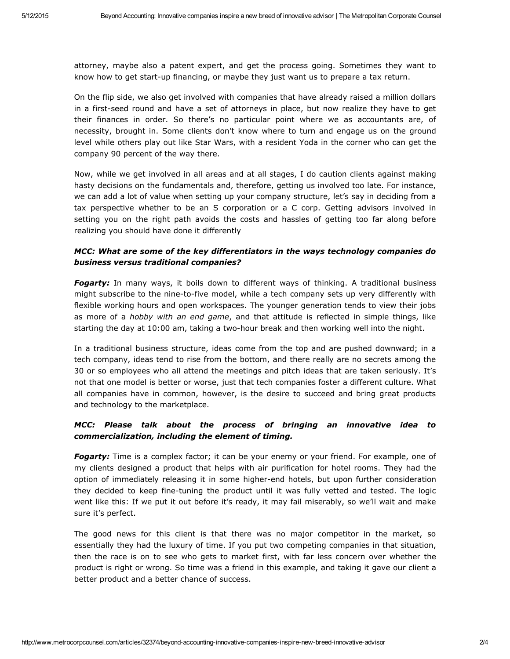attorney, maybe also a patent expert, and get the process going. Sometimes they want to know how to get start-up financing, or maybe they just want us to prepare a tax return.

On the flip side, we also get involved with companies that have already raised a million dollars in a first-seed round and have a set of attorneys in place, but now realize they have to get their finances in order. So there's no particular point where we as accountants are, of necessity, brought in. Some clients don't know where to turn and engage us on the ground level while others play out like Star Wars, with a resident Yoda in the corner who can get the company 90 percent of the way there.

Now, while we get involved in all areas and at all stages, I do caution clients against making hasty decisions on the fundamentals and, therefore, getting us involved too late. For instance, we can add a lot of value when setting up your company structure, let's say in deciding from a tax perspective whether to be an S corporation or a C corp. Getting advisors involved in setting you on the right path avoids the costs and hassles of getting too far along before realizing you should have done it differently

## *MCC: What are some of the key differentiators in the ways technology companies do business versus traditional companies?*

*Fogarty:* In many ways, it boils down to different ways of thinking. A traditional business might subscribe to the nine-to-five model, while a tech company sets up very differently with flexible working hours and open workspaces. The younger generation tends to view their jobs as more of a *hobby with an end game*, and that attitude is reflected in simple things, like starting the day at 10:00 am, taking a two-hour break and then working well into the night.

In a traditional business structure, ideas come from the top and are pushed downward; in a tech company, ideas tend to rise from the bottom, and there really are no secrets among the 30 or so employees who all attend the meetings and pitch ideas that are taken seriously. It's not that one model is better or worse, just that tech companies foster a different culture. What all companies have in common, however, is the desire to succeed and bring great products and technology to the marketplace.

## *MCC: Please talk about the process of bringing an innovative idea to commercialization, including the element of timing.*

*Fogarty:* Time is a complex factor; it can be your enemy or your friend. For example, one of my clients designed a product that helps with air purification for hotel rooms. They had the option of immediately releasing it in some higher-end hotels, but upon further consideration they decided to keep fine-tuning the product until it was fully vetted and tested. The logic went like this: If we put it out before it's ready, it may fail miserably, so we'll wait and make sure it's perfect.

The good news for this client is that there was no major competitor in the market, so essentially they had the luxury of time. If you put two competing companies in that situation, then the race is on to see who gets to market first, with far less concern over whether the product is right or wrong. So time was a friend in this example, and taking it gave our client a better product and a better chance of success.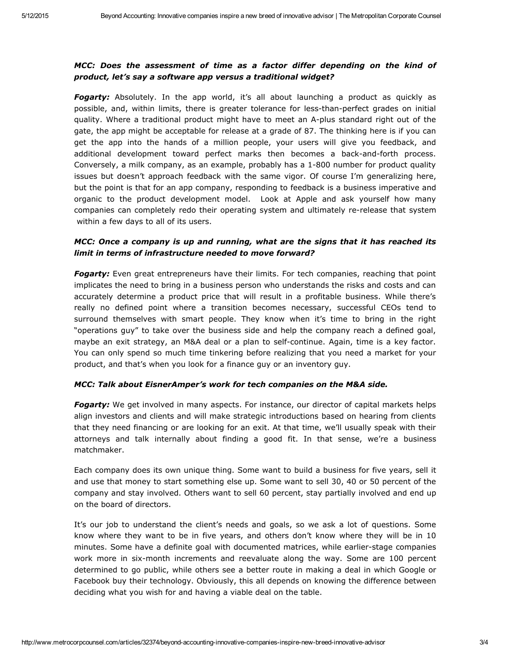## *MCC: Does the assessment of time as a factor differ depending on the kind of product, let's say a software app versus a traditional widget?*

**Fogarty:** Absolutely. In the app world, it's all about launching a product as quickly as possible, and, within limits, there is greater tolerance for less-than-perfect grades on initial quality. Where a traditional product might have to meet an A-plus standard right out of the gate, the app might be acceptable for release at a grade of 87. The thinking here is if you can get the app into the hands of a million people, your users will give you feedback, and additional development toward perfect marks then becomes a back-and-forth process. Conversely, a milk company, as an example, probably has a 1-800 number for product quality issues but doesn't approach feedback with the same vigor. Of course I'm generalizing here, but the point is that for an app company, responding to feedback is a business imperative and organic to the product development model. Look at Apple and ask yourself how many companies can completely redo their operating system and ultimately rerelease that system within a few days to all of its users.

### *MCC: Once a company is up and running, what are the signs that it has reached its limit in terms of infrastructure needed to move forward?*

*Fogarty:* Even great entrepreneurs have their limits. For tech companies, reaching that point implicates the need to bring in a business person who understands the risks and costs and can accurately determine a product price that will result in a profitable business. While there's really no defined point where a transition becomes necessary, successful CEOs tend to surround themselves with smart people. They know when it's time to bring in the right "operations guy" to take over the business side and help the company reach a defined goal, maybe an exit strategy, an M&A deal or a plan to self-continue. Again, time is a key factor. You can only spend so much time tinkering before realizing that you need a market for your product, and that's when you look for a finance guy or an inventory guy.

#### *MCC: Talk about EisnerAmper's work for tech companies on the M&A side.*

**Fogarty:** We get involved in many aspects. For instance, our director of capital markets helps align investors and clients and will make strategic introductions based on hearing from clients that they need financing or are looking for an exit. At that time, we'll usually speak with their attorneys and talk internally about finding a good fit. In that sense, we're a business matchmaker.

Each company does its own unique thing. Some want to build a business for five years, sell it and use that money to start something else up. Some want to sell 30, 40 or 50 percent of the company and stay involved. Others want to sell 60 percent, stay partially involved and end up on the board of directors.

It's our job to understand the client's needs and goals, so we ask a lot of questions. Some know where they want to be in five years, and others don't know where they will be in 10 minutes. Some have a definite goal with documented matrices, while earlier-stage companies work more in six-month increments and reevaluate along the way. Some are 100 percent determined to go public, while others see a better route in making a deal in which Google or Facebook buy their technology. Obviously, this all depends on knowing the difference between deciding what you wish for and having a viable deal on the table.